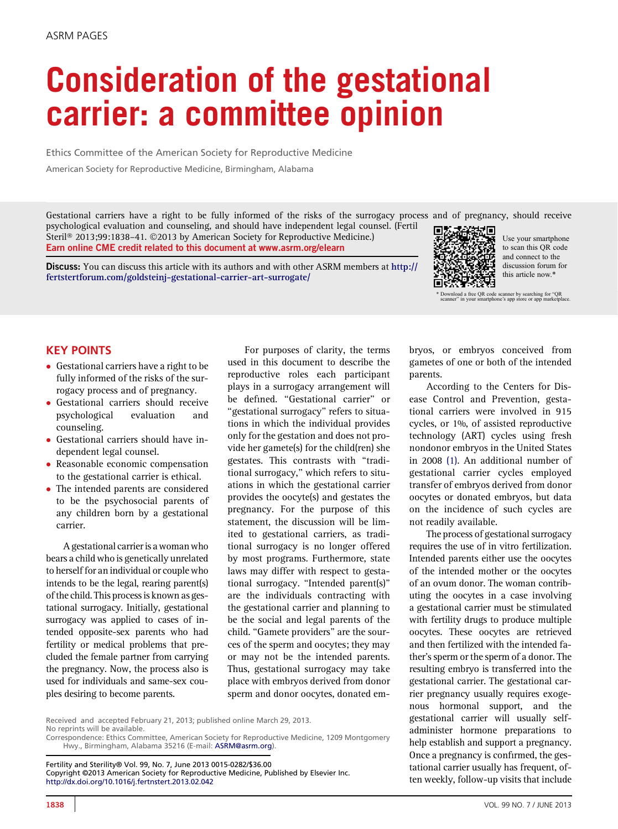# Consideration of the gestational carrier: a committee opinion

Ethics Committee of the American Society for Reproductive Medicine

American Society for Reproductive Medicine, Birmingham, Alabama

Gestational carriers have a right to be fully informed of the risks of the surrogacy process and of pregnancy, should receive psychological evaluation and counseling, and should have independent legal counsel. (Fertil п п Steril<sup>®</sup> 2013;99:1838-41. ©2013 by American Society for Reproductive Medicine.) Use your smartphone Earn online CME credit related to this document at [www.asrm.org/elearn](http://www.asrm.org/elearn)

Discuss: You can discuss this article with its authors and with other ASRM members at [http://](http://fertstertforum.com/goldsteinj-gestational-carrier-art-surrogate/) [fertstertforum.com/goldsteinj-gestational-carrier-art-surrogate/](http://fertstertforum.com/goldsteinj-gestational-carrier-art-surrogate/)



to scan this QR code and connect to the discussion forum for this article now.\*

\* Download a free QR code scanner by searching for "QR scanner" in your smartphone's app store or app marketplace.

## KEY POINTS

- Gestational carriers have a right to be fully informed of the risks of the surrogacy process and of pregnancy.
- Gestational carriers should receive<br>psychological evaluation and psychological counseling.
- Gestational carriers should have independent legal counsel.
- Reasonable economic compensation to the gestational carrier is ethical.
- The intended parents are considered to be the psychosocial parents of any children born by a gestational carrier.

A gestational carrier is a woman who bears a child who is genetically unrelated to herself for an individual or couple who intends to be the legal, rearing parent(s) of the child. This process is known as gestational surrogacy. Initially, gestational surrogacy was applied to cases of intended opposite-sex parents who had fertility or medical problems that precluded the female partner from carrying the pregnancy. Now, the process also is used for individuals and same-sex couples desiring to become parents.

For purposes of clarity, the terms used in this document to describe the reproductive roles each participant plays in a surrogacy arrangement will be defined. ''Gestational carrier'' or ''gestational surrogacy'' refers to situations in which the individual provides only for the gestation and does not provide her gamete(s) for the child(ren) she gestates. This contrasts with ''traditional surrogacy,'' which refers to situations in which the gestational carrier provides the oocyte(s) and gestates the pregnancy. For the purpose of this statement, the discussion will be limited to gestational carriers, as traditional surrogacy is no longer offered by most programs. Furthermore, state laws may differ with respect to gestational surrogacy. ''Intended parent(s)'' are the individuals contracting with the gestational carrier and planning to be the social and legal parents of the child. ''Gamete providers'' are the sources of the sperm and oocytes; they may or may not be the intended parents. Thus, gestational surrogacy may take place with embryos derived from donor sperm and donor oocytes, donated em-

bryos, or embryos conceived from gametes of one or both of the intended parents.

According to the Centers for Disease Control and Prevention, gestational carriers were involved in 915 cycles, or 1%, of assisted reproductive technology (ART) cycles using fresh nondonor embryos in the United States in 2008 [\(1\)](#page-3-0). An additional number of gestational carrier cycles employed transfer of embryos derived from donor oocytes or donated embryos, but data on the incidence of such cycles are not readily available.

The process of gestational surrogacy requires the use of in vitro fertilization. Intended parents either use the oocytes of the intended mother or the oocytes of an ovum donor. The woman contributing the oocytes in a case involving a gestational carrier must be stimulated with fertility drugs to produce multiple oocytes. These oocytes are retrieved and then fertilized with the intended father's sperm or the sperm of a donor. The resulting embryo is transferred into the gestational carrier. The gestational carrier pregnancy usually requires exogenous hormonal support, and the gestational carrier will usually selfadminister hormone preparations to help establish and support a pregnancy. Once a pregnancy is confirmed, the gestational carrier usually has frequent, often weekly, follow-up visits that include

Received and accepted February 21, 2013; published online March 29, 2013. No reprints will be available.

Fertility and Sterility® Vol. 99, No. 7, June 2013 0015-0282/\$36.00 Copyright ©2013 American Society for Reproductive Medicine, Published by Elsevier Inc. <http://dx.doi.org/10.1016/j.fertnstert.2013.02.042>

Correspondence: Ethics Committee, American Society for Reproductive Medicine, 1209 Montgomery Hwy., Birmingham, Alabama 35216 (E-mail: [ASRM@asrm.org\)](mailto:ASRM@asrm.org).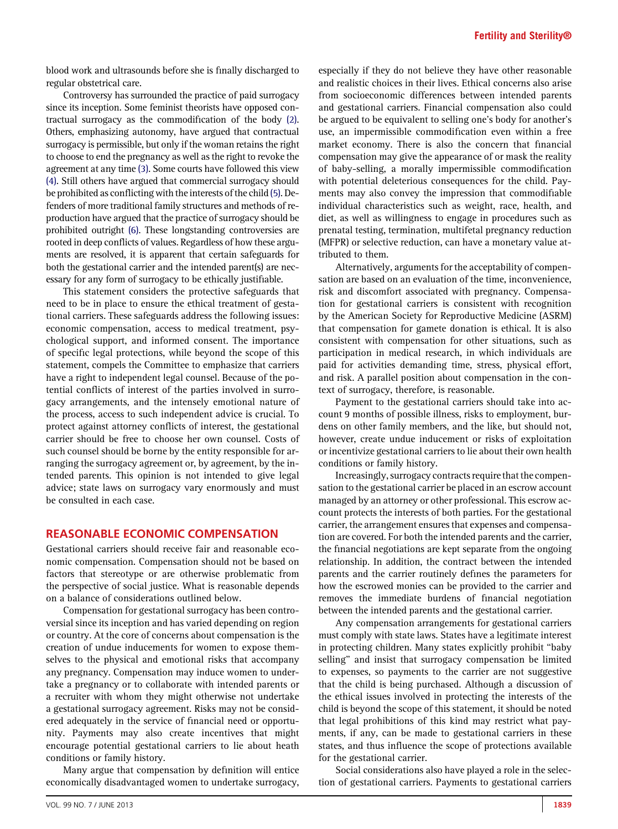blood work and ultrasounds before she is finally discharged to regular obstetrical care.

Controversy has surrounded the practice of paid surrogacy since its inception. Some feminist theorists have opposed contractual surrogacy as the commodification of the body [\(2\).](#page-3-0) Others, emphasizing autonomy, have argued that contractual surrogacy is permissible, but only if the woman retains the right to choose to end the pregnancy as well as the right to revoke the agreement at any time [\(3\)](#page-3-0). Some courts have followed this view [\(4\)](#page-3-0). Still others have argued that commercial surrogacy should be prohibited as conflicting with the interests of the child [\(5\).](#page-3-0) Defenders of more traditional family structures and methods of reproduction have argued that the practice of surrogacy should be prohibited outright [\(6\)](#page-3-0). These longstanding controversies are rooted in deep conflicts of values. Regardless of how these arguments are resolved, it is apparent that certain safeguards for both the gestational carrier and the intended parent(s) are necessary for any form of surrogacy to be ethically justifiable.

This statement considers the protective safeguards that need to be in place to ensure the ethical treatment of gestational carriers. These safeguards address the following issues: economic compensation, access to medical treatment, psychological support, and informed consent. The importance of specific legal protections, while beyond the scope of this statement, compels the Committee to emphasize that carriers have a right to independent legal counsel. Because of the potential conflicts of interest of the parties involved in surrogacy arrangements, and the intensely emotional nature of the process, access to such independent advice is crucial. To protect against attorney conflicts of interest, the gestational carrier should be free to choose her own counsel. Costs of such counsel should be borne by the entity responsible for arranging the surrogacy agreement or, by agreement, by the intended parents. This opinion is not intended to give legal advice; state laws on surrogacy vary enormously and must be consulted in each case.

#### REASONABLE ECONOMIC COMPENSATION

Gestational carriers should receive fair and reasonable economic compensation. Compensation should not be based on factors that stereotype or are otherwise problematic from the perspective of social justice. What is reasonable depends on a balance of considerations outlined below.

Compensation for gestational surrogacy has been controversial since its inception and has varied depending on region or country. At the core of concerns about compensation is the creation of undue inducements for women to expose themselves to the physical and emotional risks that accompany any pregnancy. Compensation may induce women to undertake a pregnancy or to collaborate with intended parents or a recruiter with whom they might otherwise not undertake a gestational surrogacy agreement. Risks may not be considered adequately in the service of financial need or opportunity. Payments may also create incentives that might encourage potential gestational carriers to lie about heath conditions or family history.

Many argue that compensation by definition will entice economically disadvantaged women to undertake surrogacy,

especially if they do not believe they have other reasonable and realistic choices in their lives. Ethical concerns also arise from socioeconomic differences between intended parents and gestational carriers. Financial compensation also could be argued to be equivalent to selling one's body for another's use, an impermissible commodification even within a free market economy. There is also the concern that financial compensation may give the appearance of or mask the reality of baby-selling, a morally impermissible commodification with potential deleterious consequences for the child. Payments may also convey the impression that commodifiable individual characteristics such as weight, race, health, and diet, as well as willingness to engage in procedures such as prenatal testing, termination, multifetal pregnancy reduction (MFPR) or selective reduction, can have a monetary value attributed to them.

Alternatively, arguments for the acceptability of compensation are based on an evaluation of the time, inconvenience, risk and discomfort associated with pregnancy. Compensation for gestational carriers is consistent with recognition by the American Society for Reproductive Medicine (ASRM) that compensation for gamete donation is ethical. It is also consistent with compensation for other situations, such as participation in medical research, in which individuals are paid for activities demanding time, stress, physical effort, and risk. A parallel position about compensation in the context of surrogacy, therefore, is reasonable.

Payment to the gestational carriers should take into account 9 months of possible illness, risks to employment, burdens on other family members, and the like, but should not, however, create undue inducement or risks of exploitation or incentivize gestational carriers to lie about their own health conditions or family history.

Increasingly, surrogacy contracts require that the compensation to the gestational carrier be placed in an escrow account managed by an attorney or other professional. This escrow account protects the interests of both parties. For the gestational carrier, the arrangement ensures that expenses and compensation are covered. For both the intended parents and the carrier, the financial negotiations are kept separate from the ongoing relationship. In addition, the contract between the intended parents and the carrier routinely defines the parameters for how the escrowed monies can be provided to the carrier and removes the immediate burdens of financial negotiation between the intended parents and the gestational carrier.

Any compensation arrangements for gestational carriers must comply with state laws. States have a legitimate interest in protecting children. Many states explicitly prohibit ''baby selling'' and insist that surrogacy compensation be limited to expenses, so payments to the carrier are not suggestive that the child is being purchased. Although a discussion of the ethical issues involved in protecting the interests of the child is beyond the scope of this statement, it should be noted that legal prohibitions of this kind may restrict what payments, if any, can be made to gestational carriers in these states, and thus influence the scope of protections available for the gestational carrier.

Social considerations also have played a role in the selection of gestational carriers. Payments to gestational carriers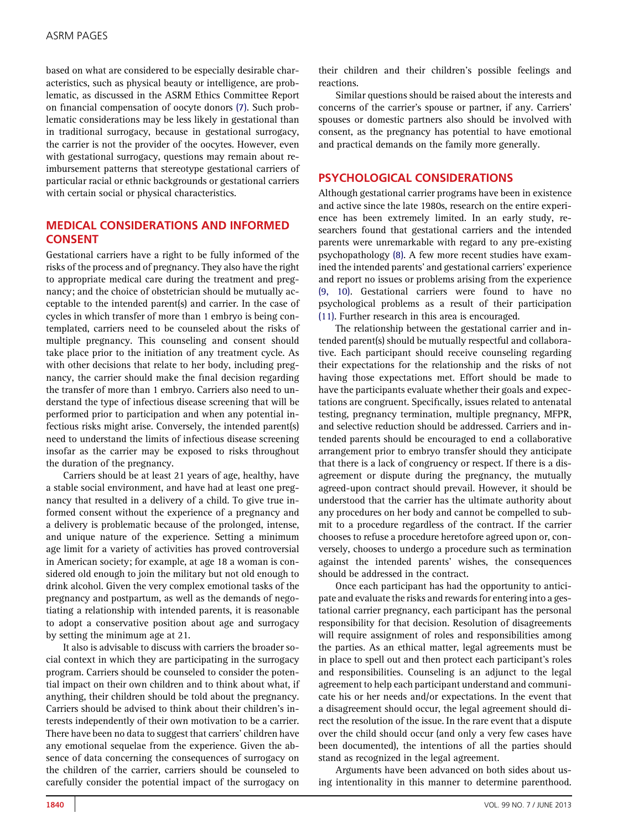based on what are considered to be especially desirable characteristics, such as physical beauty or intelligence, are problematic, as discussed in the ASRM Ethics Committee Report on financial compensation of oocyte donors [\(7\)](#page-3-0). Such problematic considerations may be less likely in gestational than in traditional surrogacy, because in gestational surrogacy, the carrier is not the provider of the oocytes. However, even with gestational surrogacy, questions may remain about reimbursement patterns that stereotype gestational carriers of particular racial or ethnic backgrounds or gestational carriers with certain social or physical characteristics.

### MEDICAL CONSIDERATIONS AND INFORMED CONSENT

Gestational carriers have a right to be fully informed of the risks of the process and of pregnancy. They also have the right to appropriate medical care during the treatment and pregnancy; and the choice of obstetrician should be mutually acceptable to the intended parent(s) and carrier. In the case of cycles in which transfer of more than 1 embryo is being contemplated, carriers need to be counseled about the risks of multiple pregnancy. This counseling and consent should take place prior to the initiation of any treatment cycle. As with other decisions that relate to her body, including pregnancy, the carrier should make the final decision regarding the transfer of more than 1 embryo. Carriers also need to understand the type of infectious disease screening that will be performed prior to participation and when any potential infectious risks might arise. Conversely, the intended parent(s) need to understand the limits of infectious disease screening insofar as the carrier may be exposed to risks throughout the duration of the pregnancy.

Carriers should be at least 21 years of age, healthy, have a stable social environment, and have had at least one pregnancy that resulted in a delivery of a child. To give true informed consent without the experience of a pregnancy and a delivery is problematic because of the prolonged, intense, and unique nature of the experience. Setting a minimum age limit for a variety of activities has proved controversial in American society; for example, at age 18 a woman is considered old enough to join the military but not old enough to drink alcohol. Given the very complex emotional tasks of the pregnancy and postpartum, as well as the demands of negotiating a relationship with intended parents, it is reasonable to adopt a conservative position about age and surrogacy by setting the minimum age at 21.

It also is advisable to discuss with carriers the broader social context in which they are participating in the surrogacy program. Carriers should be counseled to consider the potential impact on their own children and to think about what, if anything, their children should be told about the pregnancy. Carriers should be advised to think about their children's interests independently of their own motivation to be a carrier. There have been no data to suggest that carriers' children have any emotional sequelae from the experience. Given the absence of data concerning the consequences of surrogacy on the children of the carrier, carriers should be counseled to carefully consider the potential impact of the surrogacy on

their children and their children's possible feelings and reactions.

Similar questions should be raised about the interests and concerns of the carrier's spouse or partner, if any. Carriers' spouses or domestic partners also should be involved with consent, as the pregnancy has potential to have emotional and practical demands on the family more generally.

#### PSYCHOLOGICAL CONSIDERATIONS

Although gestational carrier programs have been in existence and active since the late 1980s, research on the entire experience has been extremely limited. In an early study, researchers found that gestational carriers and the intended parents were unremarkable with regard to any pre-existing psychopathology [\(8\)](#page-3-0). A few more recent studies have examined the intended parents' and gestational carriers' experience and report no issues or problems arising from the experience [\(9, 10\)](#page-3-0). Gestational carriers were found to have no psychological problems as a result of their participation [\(11\).](#page-3-0) Further research in this area is encouraged.

The relationship between the gestational carrier and intended parent(s) should be mutually respectful and collaborative. Each participant should receive counseling regarding their expectations for the relationship and the risks of not having those expectations met. Effort should be made to have the participants evaluate whether their goals and expectations are congruent. Specifically, issues related to antenatal testing, pregnancy termination, multiple pregnancy, MFPR, and selective reduction should be addressed. Carriers and intended parents should be encouraged to end a collaborative arrangement prior to embryo transfer should they anticipate that there is a lack of congruency or respect. If there is a disagreement or dispute during the pregnancy, the mutually agreed-upon contract should prevail. However, it should be understood that the carrier has the ultimate authority about any procedures on her body and cannot be compelled to submit to a procedure regardless of the contract. If the carrier chooses to refuse a procedure heretofore agreed upon or, conversely, chooses to undergo a procedure such as termination against the intended parents' wishes, the consequences should be addressed in the contract.

Once each participant has had the opportunity to anticipate and evaluate the risks and rewards for entering into a gestational carrier pregnancy, each participant has the personal responsibility for that decision. Resolution of disagreements will require assignment of roles and responsibilities among the parties. As an ethical matter, legal agreements must be in place to spell out and then protect each participant's roles and responsibilities. Counseling is an adjunct to the legal agreement to help each participant understand and communicate his or her needs and/or expectations. In the event that a disagreement should occur, the legal agreement should direct the resolution of the issue. In the rare event that a dispute over the child should occur (and only a very few cases have been documented), the intentions of all the parties should stand as recognized in the legal agreement.

Arguments have been advanced on both sides about using intentionality in this manner to determine parenthood.